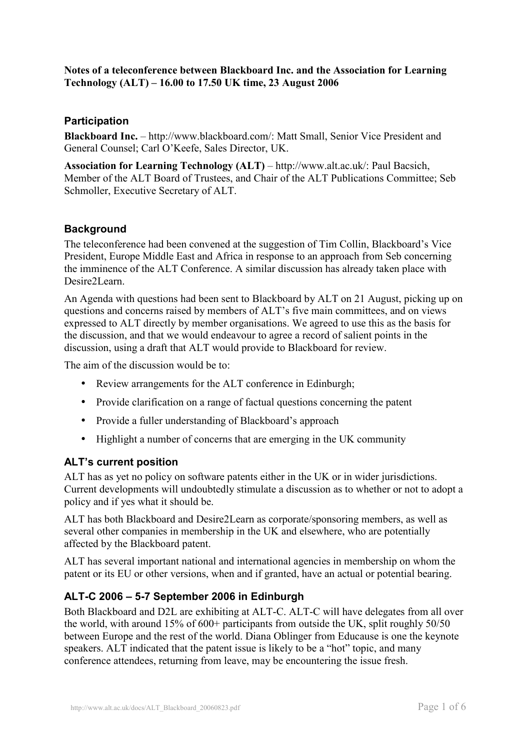### **Notes of a teleconference between Blackboard Inc. and the Association for Learning Technology (ALT) – 16.00 to 17.50 UK time, 23 August 2006**

# **Participation**

**Blackboard Inc.** – http://www.blackboard.com/: Matt Small, Senior Vice President and General Counsel; Carl O'Keefe, Sales Director, UK.

**Association for Learning Technology (ALT)** – http://www.alt.ac.uk/: Paul Bacsich, Member of the ALT Board of Trustees, and Chair of the ALT Publications Committee; Seb Schmoller, Executive Secretary of ALT.

## **Background**

The teleconference had been convened at the suggestion of Tim Collin, Blackboard's Vice President, Europe Middle East and Africa in response to an approach from Seb concerning the imminence of the ALT Conference. A similar discussion has already taken place with Desire2Learn.

An Agenda with questions had been sent to Blackboard by ALT on 21 August, picking up on questions and concerns raised by members of ALT's five main committees, and on views expressed to ALT directly by member organisations. We agreed to use this as the basis for the discussion, and that we would endeavour to agree a record of salient points in the discussion, using a draft that ALT would provide to Blackboard for review.

The aim of the discussion would be to:

- Review arrangements for the ALT conference in Edinburgh;
- Provide clarification on a range of factual questions concerning the patent
- Provide a fuller understanding of Blackboard's approach
- Highlight a number of concerns that are emerging in the UK community

## **ALT's current position**

ALT has as yet no policy on software patents either in the UK or in wider jurisdictions. Current developments will undoubtedly stimulate a discussion as to whether or not to adopt a policy and if yes what it should be.

ALT has both Blackboard and Desire2Learn as corporate/sponsoring members, as well as several other companies in membership in the UK and elsewhere, who are potentially affected by the Blackboard patent.

ALT has several important national and international agencies in membership on whom the patent or its EU or other versions, when and if granted, have an actual or potential bearing.

## **ALT-C 2006 – 5-7 September 2006 in Edinburgh**

Both Blackboard and D2L are exhibiting at ALT-C. ALT-C will have delegates from all over the world, with around 15% of 600+ participants from outside the UK, split roughly 50/50 between Europe and the rest of the world. Diana Oblinger from Educause is one the keynote speakers. ALT indicated that the patent issue is likely to be a "hot" topic, and many conference attendees, returning from leave, may be encountering the issue fresh.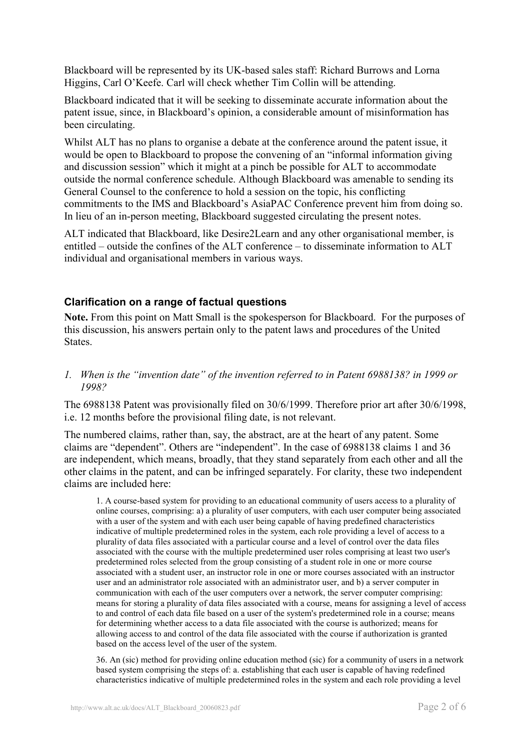Blackboard will be represented by its UK-based sales staff: Richard Burrows and Lorna Higgins, Carl O'Keefe. Carl will check whether Tim Collin will be attending.

Blackboard indicated that it will be seeking to disseminate accurate information about the patent issue, since, in Blackboard's opinion, a considerable amount of misinformation has been circulating.

Whilst ALT has no plans to organise a debate at the conference around the patent issue, it would be open to Blackboard to propose the convening of an "informal information giving and discussion session" which it might at a pinch be possible for ALT to accommodate outside the normal conference schedule. Although Blackboard was amenable to sending its General Counsel to the conference to hold a session on the topic, his conflicting commitments to the IMS and Blackboard's AsiaPAC Conference prevent him from doing so. In lieu of an in-person meeting, Blackboard suggested circulating the present notes.

ALT indicated that Blackboard, like Desire2Learn and any other organisational member, is entitled – outside the confines of the ALT conference – to disseminate information to ALT individual and organisational members in various ways.

# **Clarification on a range of factual questions**

**Note.** From this point on Matt Small is the spokesperson for Blackboard. For the purposes of this discussion, his answers pertain only to the patent laws and procedures of the United States.

*1. When is the "invention date" of the invention referred to in Patent 6988138? in 1999 or 1998?* 

The 6988138 Patent was provisionally filed on 30/6/1999. Therefore prior art after 30/6/1998, i.e. 12 months before the provisional filing date, is not relevant.

The numbered claims, rather than, say, the abstract, are at the heart of any patent. Some claims are "dependent". Others are "independent". In the case of 6988138 claims 1 and 36 are independent, which means, broadly, that they stand separately from each other and all the other claims in the patent, and can be infringed separately. For clarity, these two independent claims are included here:

1. A course-based system for providing to an educational community of users access to a plurality of online courses, comprising: a) a plurality of user computers, with each user computer being associated with a user of the system and with each user being capable of having predefined characteristics indicative of multiple predetermined roles in the system, each role providing a level of access to a plurality of data files associated with a particular course and a level of control over the data files associated with the course with the multiple predetermined user roles comprising at least two user's predetermined roles selected from the group consisting of a student role in one or more course associated with a student user, an instructor role in one or more courses associated with an instructor user and an administrator role associated with an administrator user, and b) a server computer in communication with each of the user computers over a network, the server computer comprising: means for storing a plurality of data files associated with a course, means for assigning a level of access to and control of each data file based on a user of the system's predetermined role in a course; means for determining whether access to a data file associated with the course is authorized; means for allowing access to and control of the data file associated with the course if authorization is granted based on the access level of the user of the system.

36. An (sic) method for providing online education method (sic) for a community of users in a network based system comprising the steps of: a. establishing that each user is capable of having redefined characteristics indicative of multiple predetermined roles in the system and each role providing a level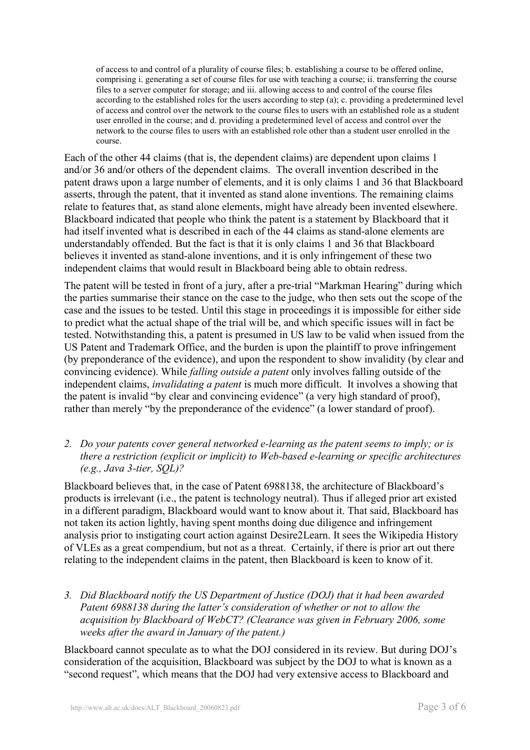of access to and control of a plurality of course files; b. establishing a course to be offered online, comprising i. generating a set of course files for use with teaching a course; ii. transferring the course files to a server computer for storage; and iii. allowing access to and control of the course files according to the established roles for the users according to step (a); c. providing a predetermined level of access and control over the network to the course files to users with an established role as a student user enrolled in the course; and d. providing a predetermined level of access and control over the network to the course files to users with an established role other than a student user enrolled in the course.

Each of the other 44 claims (that is, the dependent claims) are dependent upon claims 1 and/or 36 and/or others of the dependent claims. The overall invention described in the patent draws upon a large number of elements, and it is only claims 1 and 36 that Blackboard asserts, through the patent, that it invented as stand alone inventions. The remaining claims relate to features that, as stand alone elements, might have already been invented elsewhere. Blackboard indicated that people who think the patent is a statement by Blackboard that it had itself invented what is described in each of the 44 claims as stand-alone elements are understandably offended. But the fact is that it is only claims 1 and 36 that Blackboard believes it invented as stand-alone inventions, and it is only infringement of these two independent claims that would result in Blackboard being able to obtain redress.

The patent will be tested in front of a jury, after a pre-trial "Markman Hearing" during which the parties summarise their stance on the case to the judge, who then sets out the scope of the case and the issues to be tested. Until this stage in proceedings it is impossible for either side to predict what the actual shape of the trial will be, and which specific issues will in fact be tested. Notwithstanding this, a patent is presumed in US law to be valid when issued from the US Patent and Trademark Office, and the burden is upon the plaintiff to prove infringement (by preponderance of the evidence), and upon the respondent to show invalidity (by clear and convincing evidence). While *falling outside a patent* only involves falling outside of the independent claims, *invalidating a patent* is much more difficult. It involves a showing that the patent is invalid "by clear and convincing evidence" (a very high standard of proof), rather than merely "by the preponderance of the evidence" (a lower standard of proof).

*2. Do your patents cover general networked e-learning as the patent seems to imply; or is there a restriction (explicit or implicit) to Web-based e-learning or specific architectures (e.g., Java 3-tier, SQL)?* 

Blackboard believes that, in the case of Patent 6988138, the architecture of Blackboard's products is irrelevant (i.e., the patent is technology neutral). Thus if alleged prior art existed in a different paradigm, Blackboard would want to know about it. That said, Blackboard has not taken its action lightly, having spent months doing due diligence and infringement analysis prior to instigating court action against Desire2Learn. It sees the Wikipedia History of VLEs as a great compendium, but not as a threat. Certainly, if there is prior art out there relating to the independent claims in the patent, then Blackboard is keen to know of it.

*3. Did Blackboard notify the US Department of Justice (DOJ) that it had been awarded Patent 6988138 during the latter's consideration of whether or not to allow the acquisition by Blackboard of WebCT? (Clearance was given in February 2006, some weeks after the award in January of the patent.)* 

Blackboard cannot speculate as to what the DOJ considered in its review. But during DOJ's consideration of the acquisition, Blackboard was subject by the DOJ to what is known as a "second request", which means that the DOJ had very extensive access to Blackboard and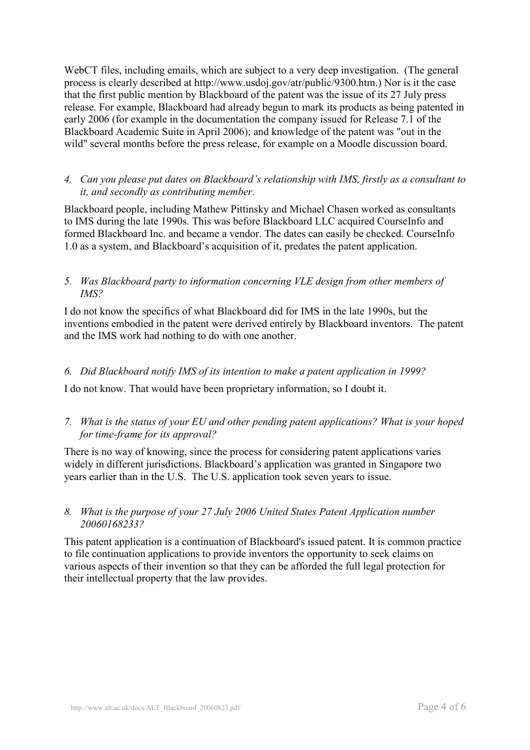WebCT files, including emails, which are subject to a very deep investigation. (The general process is clearly described at http://www.usdoj.gov/atr/public/9300.htm.) Nor is it the case that the first public mention by Blackboard of the patent was the issue of its 27 July press release. For example, Blackboard had already begun to mark its products as being patented in early 2006 (for example in the documentation the company issued for Release 7.1 of the Blackboard Academic Suite in April 2006); and knowledge of the patent was "out in the wild" several months before the press release, for example on a Moodle discussion board.

### *4. Can you please put dates on Blackboard's relationship with IMS, firstly as a consultant to it, and secondly as contributing member.*

Blackboard people, including Mathew Pittinsky and Michael Chasen worked as consultants to IMS during the late 1990s. This was before Blackboard LLC acquired CourseInfo and formed Blackboard Inc. and became a vendor. The dates can easily be checked. CourseInfo 1.0 as a system, and Blackboard's acquisition of it, predates the patent application.

#### *5. Was Blackboard party to information concerning VLE design from other members of IMS?*

I do not know the specifics of what Blackboard did for IMS in the late 1990s, but the inventions embodied in the patent were derived entirely by Blackboard inventors. The patent and the IMS work had nothing to do with one another.

## *6. Did Blackboard notify IMS of its intention to make a patent application in 1999?*

I do not know. That would have been proprietary information, so I doubt it.

## *7. What is the status of your EU and other pending patent applications? What is your hoped for time-frame for its approval?*

There is no way of knowing, since the process for considering patent applications varies widely in different jurisdictions. Blackboard's application was granted in Singapore two years earlier than in the U.S. The U.S. application took seven years to issue.

#### *8. What is the purpose of your 27 July 2006 United States Patent Application number 20060168233?*

This patent application is a continuation of Blackboard's issued patent. It is common practice to file continuation applications to provide inventors the opportunity to seek claims on various aspects of their invention so that they can be afforded the full legal protection for their intellectual property that the law provides.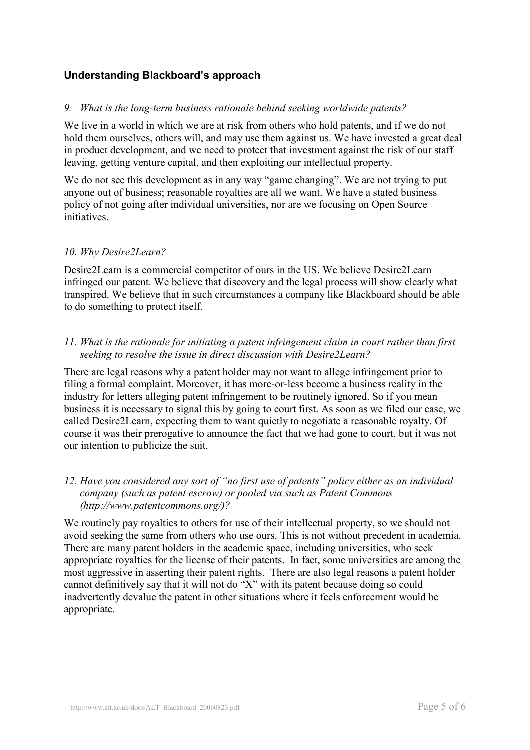# **Understanding Blackboard's approach**

#### *9. What is the long-term business rationale behind seeking worldwide patents?*

We live in a world in which we are at risk from others who hold patents, and if we do not hold them ourselves, others will, and may use them against us. We have invested a great deal in product development, and we need to protect that investment against the risk of our staff leaving, getting venture capital, and then exploiting our intellectual property.

We do not see this development as in any way "game changing". We are not trying to put anyone out of business; reasonable royalties are all we want. We have a stated business policy of not going after individual universities, nor are we focusing on Open Source initiatives.

#### *10. Why Desire2Learn?*

Desire2Learn is a commercial competitor of ours in the US. We believe Desire2Learn infringed our patent. We believe that discovery and the legal process will show clearly what transpired. We believe that in such circumstances a company like Blackboard should be able to do something to protect itself.

#### *11. What is the rationale for initiating a patent infringement claim in court rather than first seeking to resolve the issue in direct discussion with Desire2Learn?*

There are legal reasons why a patent holder may not want to allege infringement prior to filing a formal complaint. Moreover, it has more-or-less become a business reality in the industry for letters alleging patent infringement to be routinely ignored. So if you mean business it is necessary to signal this by going to court first. As soon as we filed our case, we called Desire2Learn, expecting them to want quietly to negotiate a reasonable royalty. Of course it was their prerogative to announce the fact that we had gone to court, but it was not our intention to publicize the suit.

#### *12. Have you considered any sort of "no first use of patents" policy either as an individual company (such as patent escrow) or pooled via such as Patent Commons (http://www.patentcommons.org/)?*

We routinely pay royalties to others for use of their intellectual property, so we should not avoid seeking the same from others who use ours. This is not without precedent in academia. There are many patent holders in the academic space, including universities, who seek appropriate royalties for the license of their patents. In fact, some universities are among the most aggressive in asserting their patent rights. There are also legal reasons a patent holder cannot definitively say that it will not do "X" with its patent because doing so could inadvertently devalue the patent in other situations where it feels enforcement would be appropriate.